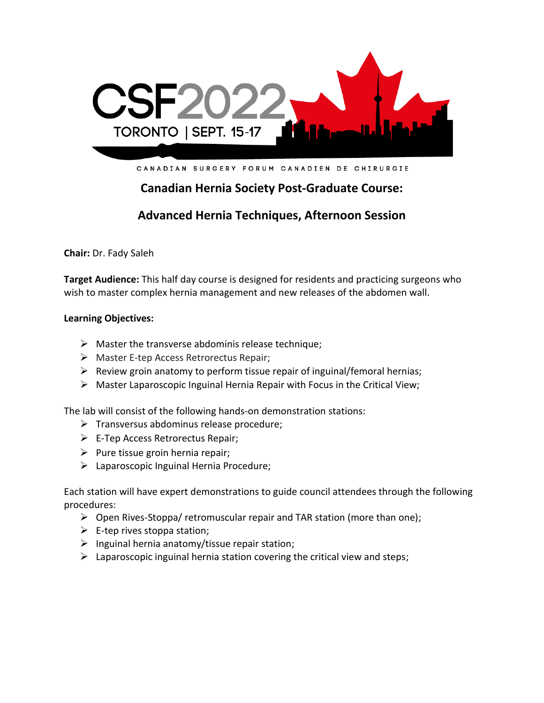

CANADIAN SURGERY FORUM CANADIEN DE CHIRURGIE

# **Canadian Hernia Society Post-Graduate Course:**

## **Advanced Hernia Techniques, Afternoon Session**

**Chair:** Dr. Fady Saleh

**Target Audience:** This half day course is designed for residents and practicing surgeons who wish to master complex hernia management and new releases of the abdomen wall.

### **Learning Objectives:**

- $\triangleright$  Master the transverse abdominis release technique;
- ➢ Master E-tep Access Retrorectus Repair;
- $\triangleright$  Review groin anatomy to perform tissue repair of inguinal/femoral hernias;
- ➢ Master Laparoscopic Inguinal Hernia Repair with Focus in the Critical View;

The lab will consist of the following hands-on demonstration stations:

- ➢ Transversus abdominus release procedure;
- $\triangleright$  E-Tep Access Retrorectus Repair;
- $\triangleright$  Pure tissue groin hernia repair;
- $\triangleright$  Laparoscopic Inguinal Hernia Procedure;

Each station will have expert demonstrations to guide council attendees through the following procedures:

- $\triangleright$  Open Rives-Stoppa/ retromuscular repair and TAR station (more than one);
- $\triangleright$  E-tep rives stoppa station;
- $\triangleright$  Inguinal hernia anatomy/tissue repair station;
- $\triangleright$  Laparoscopic inguinal hernia station covering the critical view and steps;